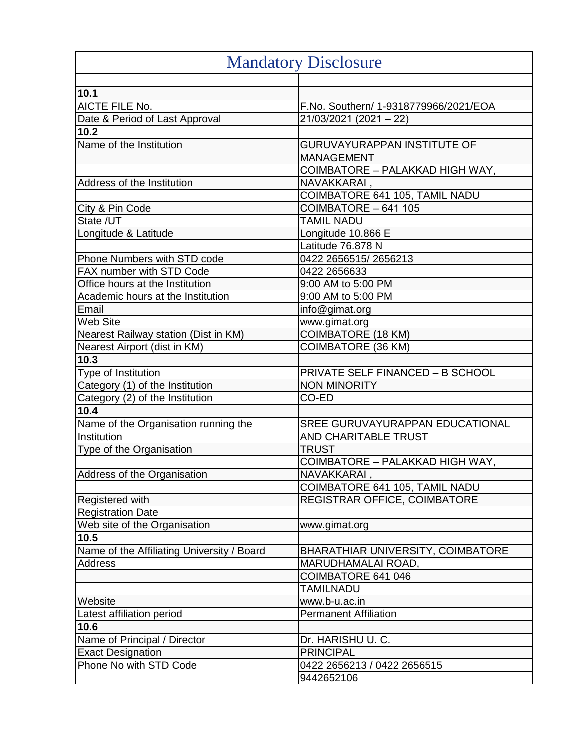| <b>Mandatory Disclosure</b>                |                                          |
|--------------------------------------------|------------------------------------------|
|                                            |                                          |
| 10.1                                       |                                          |
| <b>AICTE FILE No.</b>                      | F.No. Southern/ 1-9318779966/2021/EOA    |
| Date & Period of Last Approval             | 21/03/2021 (2021 – 22)                   |
| $10.2$                                     |                                          |
| Name of the Institution                    | <b>GURUVAYURAPPAN INSTITUTE OF</b>       |
|                                            | <b>MANAGEMENT</b>                        |
|                                            | COIMBATORE – PALAKKAD HIGH WAY,          |
| Address of the Institution                 | NAVAKKARAI,                              |
|                                            | COIMBATORE 641 105, TAMIL NADU           |
| City & Pin Code                            | $COIMBATORE - 641$ 105                   |
| State /UT                                  | <b>TAMIL NADU</b>                        |
| Longitude & Latitude                       | Longitude 10.866 E                       |
|                                            | Latitude 76.878 N                        |
| Phone Numbers with STD code                | 0422 2656515/2656213                     |
| FAX number with STD Code                   | 0422 2656633                             |
| Office hours at the Institution            | 9:00 AM to 5:00 PM                       |
| Academic hours at the Institution          | 9:00 AM to 5:00 PM                       |
| Email                                      | info@gimat.org                           |
| <b>Web Site</b>                            | www.gimat.org                            |
| Nearest Railway station (Dist in KM)       | <b>COIMBATORE (18 KM)</b>                |
| Nearest Airport (dist in KM)               | COIMBATORE (36 KM)                       |
| 10.3                                       |                                          |
| Type of Institution                        | <b>PRIVATE SELF FINANCED - B SCHOOL</b>  |
| Category (1) of the Institution            | <b>NON MINORITY</b>                      |
| Category (2) of the Institution            | CO-ED                                    |
| 10.4                                       |                                          |
| Name of the Organisation running the       | SREE GURUVAYURAPPAN EDUCATIONAL          |
| Institution                                | AND CHARITABLE TRUST                     |
| Type of the Organisation                   | <b>TRUST</b>                             |
|                                            | COIMBATORE – PALAKKAD HIGH WAY,          |
| Address of the Organisation                | NAVAKKARAI,                              |
|                                            | COIMBATORE 641 105, TAMIL NADU           |
| <b>Registered with</b>                     | REGISTRAR OFFICE, COIMBATORE             |
| <b>Registration Date</b>                   |                                          |
| Web site of the Organisation               | www.gimat.org                            |
| 10.5                                       |                                          |
| Name of the Affiliating University / Board | <b>BHARATHIAR UNIVERSITY, COIMBATORE</b> |
| Address                                    | MARUDHAMALAI ROAD,                       |
|                                            | COIMBATORE 641 046                       |
|                                            | <b>TAMILNADU</b>                         |
| Website                                    | www.b-u.ac.in                            |
| Latest affiliation period                  | <b>Permanent Affiliation</b>             |
| 10.6                                       |                                          |
| Name of Principal / Director               | Dr. HARISHU U. C.                        |
| <b>Exact Designation</b>                   | <b>PRINCIPAL</b>                         |
| Phone No with STD Code                     | 0422 2656213 / 0422 2656515              |
|                                            | 9442652106                               |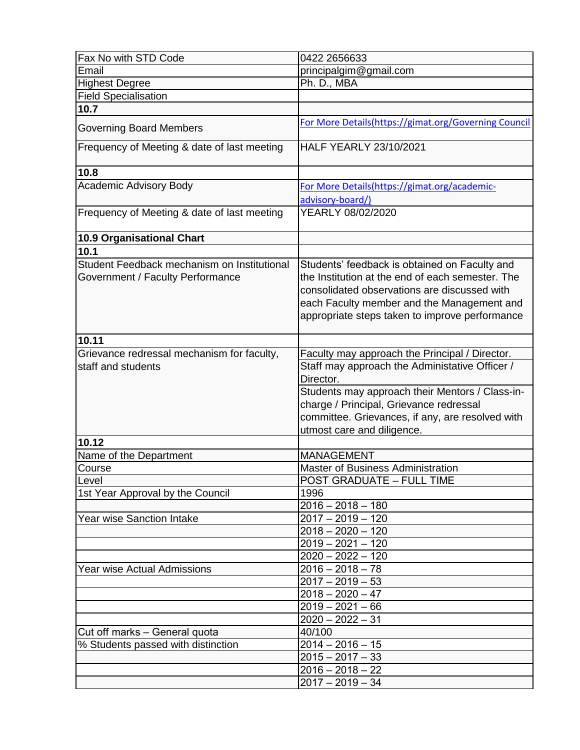| Fax No with STD Code                                                            | 0422 2656633                                                                                                                                                                                                                                      |
|---------------------------------------------------------------------------------|---------------------------------------------------------------------------------------------------------------------------------------------------------------------------------------------------------------------------------------------------|
| Email                                                                           | principalgim@gmail.com                                                                                                                                                                                                                            |
| <b>Highest Degree</b>                                                           | Ph. D., MBA                                                                                                                                                                                                                                       |
| <b>Field Specialisation</b>                                                     |                                                                                                                                                                                                                                                   |
| 10.7                                                                            |                                                                                                                                                                                                                                                   |
| <b>Governing Board Members</b>                                                  | For More Details(https://gimat.org/Governing Council                                                                                                                                                                                              |
| Frequency of Meeting & date of last meeting                                     | <b>HALF YEARLY 23/10/2021</b>                                                                                                                                                                                                                     |
| 10.8                                                                            |                                                                                                                                                                                                                                                   |
| Academic Advisory Body                                                          | For More Details(https://gimat.org/academic-                                                                                                                                                                                                      |
|                                                                                 | advisory-board/)                                                                                                                                                                                                                                  |
| Frequency of Meeting & date of last meeting                                     | YEARLY 08/02/2020                                                                                                                                                                                                                                 |
| 10.9 Organisational Chart                                                       |                                                                                                                                                                                                                                                   |
| 10.1                                                                            |                                                                                                                                                                                                                                                   |
| Student Feedback mechanism on Institutional<br>Government / Faculty Performance | Students' feedback is obtained on Faculty and<br>the Institution at the end of each semester. The<br>consolidated observations are discussed with<br>each Faculty member and the Management and<br>appropriate steps taken to improve performance |
| 10.11                                                                           |                                                                                                                                                                                                                                                   |
| Grievance redressal mechanism for faculty,                                      | Faculty may approach the Principal / Director.                                                                                                                                                                                                    |
| staff and students                                                              | Staff may approach the Administative Officer /<br>Director.<br>Students may approach their Mentors / Class-in-<br>charge / Principal, Grievance redressal<br>committee. Grievances, if any, are resolved with<br>utmost care and diligence.       |
| 10.12                                                                           |                                                                                                                                                                                                                                                   |
| Name of the Department                                                          | <b>MANAGEMENT</b>                                                                                                                                                                                                                                 |
| Course                                                                          | <b>Master of Business Administration</b>                                                                                                                                                                                                          |
| Level                                                                           | <b>POST GRADUATE - FULL TIME</b>                                                                                                                                                                                                                  |
| 1st Year Approval by the Council                                                | 1996                                                                                                                                                                                                                                              |
|                                                                                 | $2016 - 2018 - 180$                                                                                                                                                                                                                               |
| <b>Year wise Sanction Intake</b>                                                | $2017 - 2019 - 120$                                                                                                                                                                                                                               |
|                                                                                 | $2018 - 2020 - 120$                                                                                                                                                                                                                               |
|                                                                                 | $2019 - 2021 - 120$                                                                                                                                                                                                                               |
|                                                                                 | $2020 - 2022 - 120$                                                                                                                                                                                                                               |
| Year wise Actual Admissions                                                     | $2016 - 2018 - 78$                                                                                                                                                                                                                                |
|                                                                                 | $2017 - 2019 - 53$                                                                                                                                                                                                                                |
|                                                                                 | $2018 - 2020 - 47$                                                                                                                                                                                                                                |
|                                                                                 | $2019 - 2021 - 66$                                                                                                                                                                                                                                |
|                                                                                 | $2020 - 2022 - 31$                                                                                                                                                                                                                                |
| Cut off marks - General quota                                                   | 40/100                                                                                                                                                                                                                                            |
| % Students passed with distinction                                              | $2014 - 2016 - 15$                                                                                                                                                                                                                                |
|                                                                                 | $2015 - 2017 - 33$                                                                                                                                                                                                                                |
|                                                                                 | $2016 - 2018 - 22$                                                                                                                                                                                                                                |
|                                                                                 | $2017 - 2019 - 34$                                                                                                                                                                                                                                |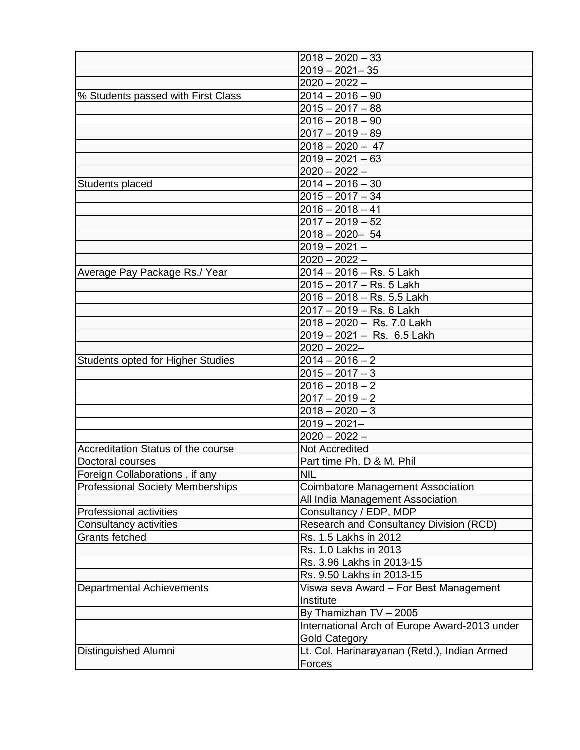|                                         | $2018 - 2020 - 33$                            |
|-----------------------------------------|-----------------------------------------------|
|                                         | $2019 - 2021 - 35$                            |
|                                         | $2020 - 2022 -$                               |
| % Students passed with First Class      | $\overline{2014} - 2016 - 90$                 |
|                                         | $2015 - 2017 - 88$                            |
|                                         | $2016 - 2018 - 90$                            |
|                                         | $2017 - 2019 - 89$                            |
|                                         | $2018 - 2020 - 47$                            |
|                                         | $2019 - 2021 - 63$                            |
|                                         | $2020 - 2022 -$                               |
| Students placed                         | $2014 - 2016 - 30$                            |
|                                         | $2015 - 2017 - 34$                            |
|                                         | $2016 - 2018 - 41$                            |
|                                         | $2017 - 2019 - 52$                            |
|                                         | $2018 - 2020 - 54$                            |
|                                         | $2019 - 2021 -$                               |
|                                         | $2020 - 2022 -$                               |
| Average Pay Package Rs./ Year           | 2014 - 2016 - Rs. 5 Lakh                      |
|                                         | 2015 - 2017 - Rs. 5 Lakh                      |
|                                         | 2016 - 2018 - Rs. 5.5 Lakh                    |
|                                         | 2017 - 2019 - Rs. 6 Lakh                      |
|                                         | 2018 - 2020 - Rs. 7.0 Lakh                    |
|                                         | 2019 - 2021 - Rs. 6.5 Lakh                    |
|                                         | $2020 - 2022 -$                               |
| Students opted for Higher Studies       | $2014 - 2016 - 2$                             |
|                                         | $2015 - 2017 - 3$                             |
|                                         | $2016 - 2018 - 2$                             |
|                                         | $2017 - 2019 - 2$                             |
|                                         | $2018 - 2020 - 3$                             |
|                                         | $2019 - 2021 -$                               |
|                                         | $2020 - 2022 -$                               |
| Accreditation Status of the course      | Not Accredited                                |
| Doctoral courses                        | Part time Ph. D & M. Phil                     |
| Foreign Collaborations, if any          | <b>NIL</b>                                    |
| <b>Professional Society Memberships</b> | <b>Coimbatore Management Association</b>      |
|                                         | All India Management Association              |
| <b>Professional activities</b>          | Consultancy / EDP, MDP                        |
| Consultancy activities                  | Research and Consultancy Division (RCD)       |
| Grants fetched                          | Rs. 1.5 Lakhs in 2012                         |
|                                         | Rs. 1.0 Lakhs in 2013                         |
|                                         | Rs. 3.96 Lakhs in 2013-15                     |
|                                         | Rs. 9.50 Lakhs in 2013-15                     |
| <b>Departmental Achievements</b>        | Viswa seva Award – For Best Management        |
|                                         | Institute                                     |
|                                         | By Thamizhan TV - 2005                        |
|                                         | International Arch of Europe Award-2013 under |
|                                         | <b>Gold Category</b>                          |
| Distinguished Alumni                    | Lt. Col. Harinarayanan (Retd.), Indian Armed  |
|                                         | Forces                                        |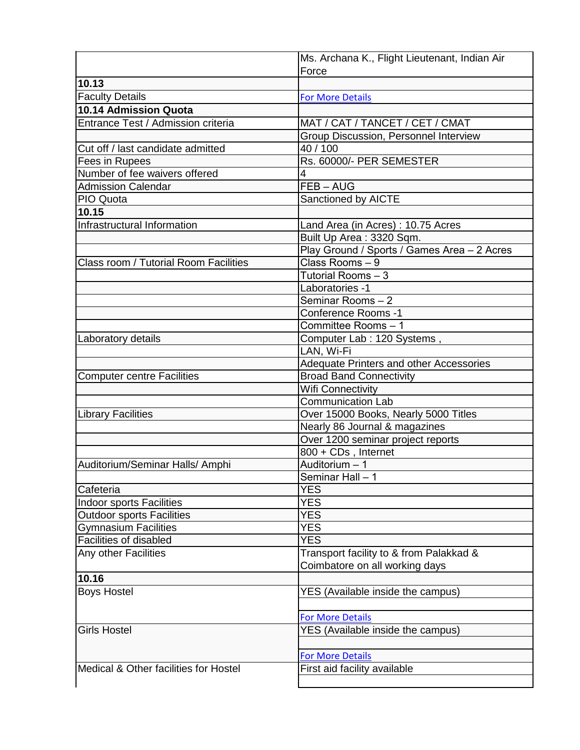|                                       | Ms. Archana K., Flight Lieutenant, Indian Air |
|---------------------------------------|-----------------------------------------------|
| 10.13                                 | Force                                         |
|                                       |                                               |
| <b>Faculty Details</b>                | <b>For More Details</b>                       |
| 10.14 Admission Quota                 |                                               |
| Entrance Test / Admission criteria    | MAT / CAT / TANCET / CET / CMAT               |
|                                       | Group Discussion, Personnel Interview         |
| Cut off / last candidate admitted     | 40 / 100                                      |
| Fees in Rupees                        | Rs. 60000/- PER SEMESTER                      |
| Number of fee waivers offered         | 4                                             |
| <b>Admission Calendar</b>             | FEB-AUG                                       |
| PIO Quota                             | Sanctioned by AICTE                           |
| 10.15                                 |                                               |
| Infrastructural Information           | Land Area (in Acres): 10.75 Acres             |
|                                       | Built Up Area: 3320 Sqm.                      |
|                                       | Play Ground / Sports / Games Area - 2 Acres   |
| Class room / Tutorial Room Facilities | Class Rooms - 9                               |
|                                       | Tutorial Rooms - 3                            |
|                                       | Laboratories -1                               |
|                                       | Seminar Rooms-2                               |
|                                       | <b>Conference Rooms -1</b>                    |
|                                       | Committee Rooms - 1                           |
| Laboratory details                    | Computer Lab : 120 Systems,                   |
|                                       | LAN, Wi-Fi                                    |
|                                       | Adequate Printers and other Accessories       |
| <b>Computer centre Facilities</b>     | <b>Broad Band Connectivity</b>                |
|                                       | <b>Wifi Connectivity</b>                      |
|                                       | <b>Communication Lab</b>                      |
| <b>Library Facilities</b>             | Over 15000 Books, Nearly 5000 Titles          |
|                                       | Nearly 86 Journal & magazines                 |
|                                       | Over 1200 seminar project reports             |
|                                       | 800 + CDs, Internet                           |
| Auditorium/Seminar Halls/ Amphi       | Auditorium - 1                                |
|                                       | Seminar Hall $-1$                             |
| Cafeteria                             | <b>YES</b>                                    |
| <b>Indoor sports Facilities</b>       | <b>YES</b>                                    |
| <b>Outdoor sports Facilities</b>      | <b>YES</b>                                    |
| <b>Gymnasium Facilities</b>           | <b>YES</b>                                    |
| Facilities of disabled                | <b>YES</b>                                    |
| Any other Facilities                  | Transport facility to & from Palakkad &       |
|                                       | Coimbatore on all working days                |
| 10.16                                 |                                               |
| <b>Boys Hostel</b>                    | YES (Available inside the campus)             |
|                                       |                                               |
|                                       | <b>For More Details</b>                       |
| <b>Girls Hostel</b>                   | YES (Available inside the campus)             |
|                                       | <b>For More Details</b>                       |
| Medical & Other facilities for Hostel | First aid facility available                  |
|                                       |                                               |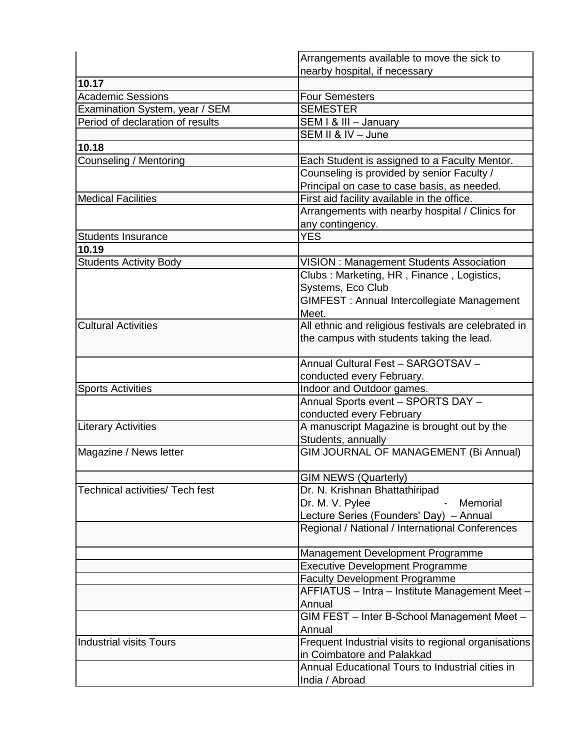|                                  | Arrangements available to move the sick to           |
|----------------------------------|------------------------------------------------------|
|                                  | nearby hospital, if necessary                        |
| 10.17                            |                                                      |
| <b>Academic Sessions</b>         | <b>Four Semesters</b>                                |
| Examination System, year / SEM   | <b>SEMESTER</b>                                      |
| Period of declaration of results | SEM I & III - January                                |
|                                  | SEM II & IV - June                                   |
| 10.18                            |                                                      |
| Counseling / Mentoring           | Each Student is assigned to a Faculty Mentor.        |
|                                  | Counseling is provided by senior Faculty /           |
|                                  | Principal on case to case basis, as needed.          |
| <b>Medical Facilities</b>        | First aid facility available in the office.          |
|                                  | Arrangements with nearby hospital / Clinics for      |
|                                  | any contingency.                                     |
| <b>Students Insurance</b>        | <b>YES</b>                                           |
| 10.19                            |                                                      |
| <b>Students Activity Body</b>    | <b>VISION: Management Students Association</b>       |
|                                  | Clubs: Marketing, HR, Finance, Logistics,            |
|                                  | Systems, Eco Club                                    |
|                                  | GIMFEST: Annual Intercollegiate Management           |
|                                  | Meet.                                                |
| <b>Cultural Activities</b>       | All ethnic and religious festivals are celebrated in |
|                                  | the campus with students taking the lead.            |
|                                  |                                                      |
|                                  | Annual Cultural Fest - SARGOTSAV -                   |
|                                  | conducted every February.                            |
| <b>Sports Activities</b>         | Indoor and Outdoor games.                            |
|                                  | Annual Sports event - SPORTS DAY -                   |
|                                  | conducted every February                             |
| <b>Literary Activities</b>       | A manuscript Magazine is brought out by the          |
|                                  | Students, annually                                   |
| Magazine / News letter           | GIM JOURNAL OF MANAGEMENT (Bi Annual)                |
|                                  |                                                      |
|                                  | <b>GIM NEWS (Quarterly)</b>                          |
| Technical activities/ Tech fest  | Dr. N. Krishnan Bhattathiripad                       |
|                                  | Dr. M. V. Pylee<br>Memorial                          |
|                                  | Lecture Series (Founders' Day) - Annual              |
|                                  | Regional / National / International Conferences      |
|                                  |                                                      |
|                                  | Management Development Programme                     |
|                                  | <b>Executive Development Programme</b>               |
|                                  | <b>Faculty Development Programme</b>                 |
|                                  | AFFIATUS - Intra - Institute Management Meet -       |
|                                  | Annual                                               |
|                                  | GIM FEST - Inter B-School Management Meet -          |
|                                  | Annual                                               |
| <b>Industrial visits Tours</b>   | Frequent Industrial visits to regional organisations |
|                                  | in Coimbatore and Palakkad                           |
|                                  | Annual Educational Tours to Industrial cities in     |
|                                  | India / Abroad                                       |